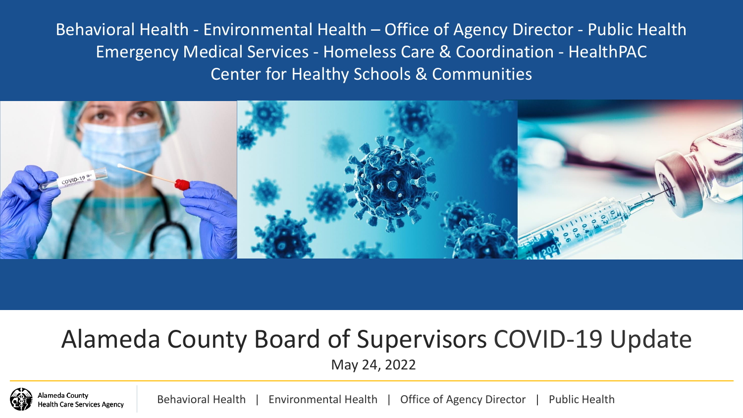Behavioral Health - Environmental Health – Office of Agency Director - Public Health Emergency Medical Services - Homeless Care & Coordination - HealthPAC Center for Healthy Schools & Communities



#### Alameda County Board of Supervisors COVID-19 Update May 24, 2022



neda Countv **Care Services Agency**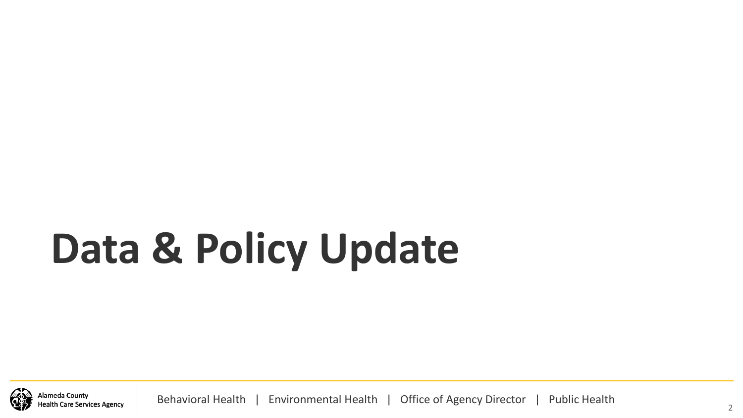# **Data & Policy Update**

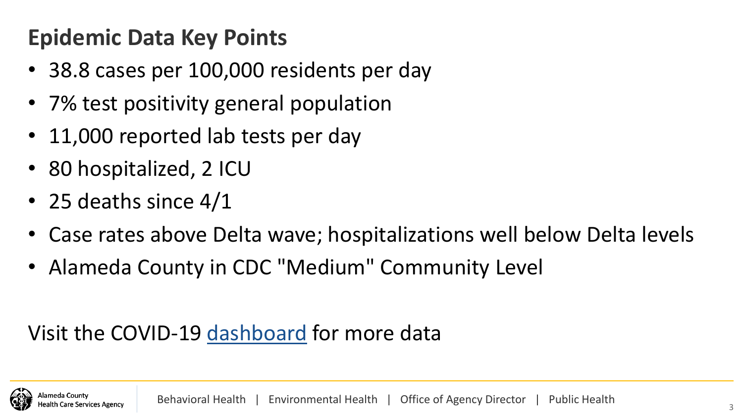## **Epidemic Data Key Points**

- 38.8 cases per 100,000 residents per day
- 7% test positivity general population
- 11,000 reported lab tests per day
- 80 hospitalized, 2 ICU
- 25 deaths since 4/1
- Case rates above Delta wave; hospitalizations well below Delta levels
- Alameda County in CDC "Medium" Community Level

#### Visit the COVID-19 [dashboard](https://covid-19.acgov.org/data) for more data

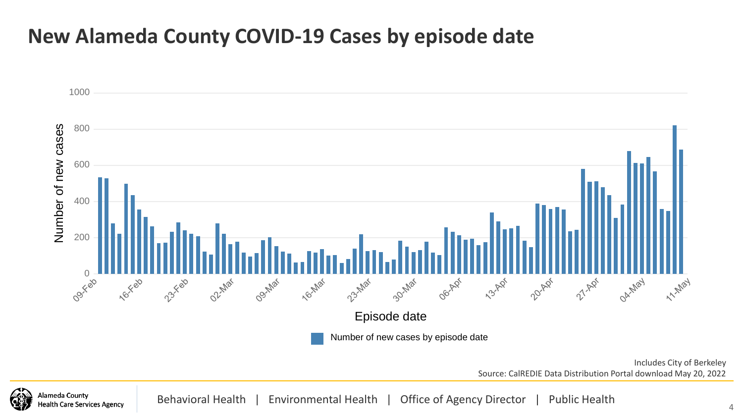#### **New Alameda County COVID-19 Cases by episode date**

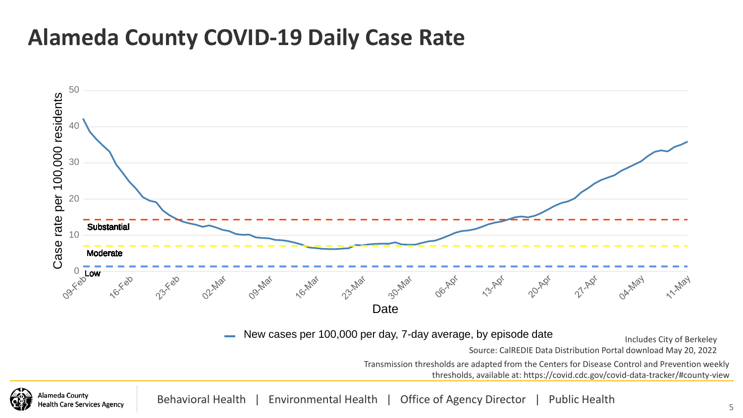#### **Alameda County COVID-19 Daily Case Rate**

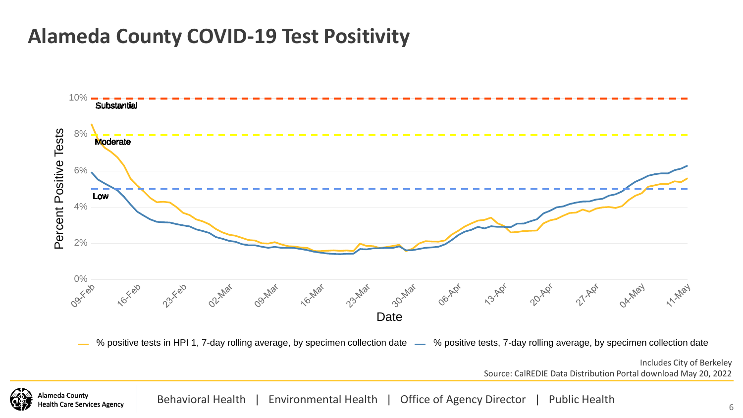#### **Alameda County COVID-19 Test Positivity**



Behavioral Health | Environmental Health | Office of Agency Director | Public Health **Health Care Services Agency**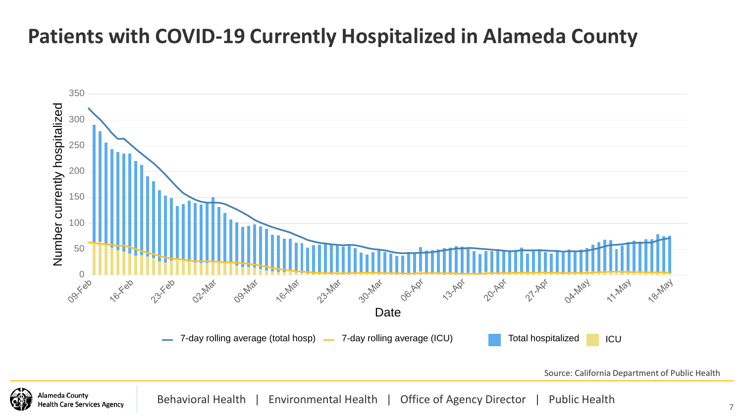#### **Patients with COVID-19 Currently Hospitalized in Alameda County**



**\lameda Countv Iealth Care Services Agency**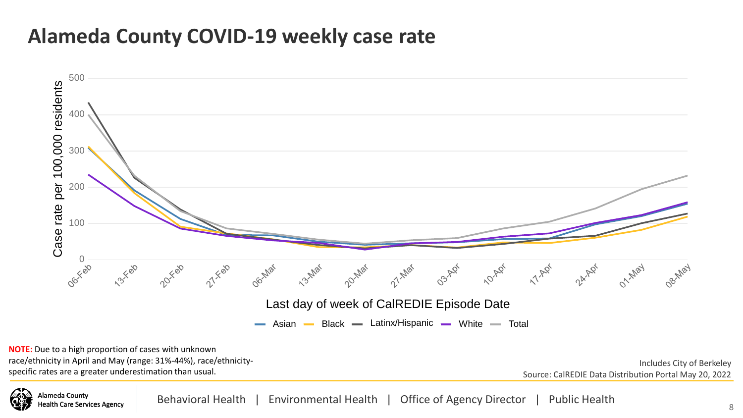#### **Alameda County COVID-19 weekly case rate**



**NOTE:** Due to a high proportion of cases with unknown race/ethnicity in April and May (range: 31%-44%), race/ethnicityspecific rates are a greater underestimation than usual.

**Nameda Countv** 

**Health Care Services Agency** 

Includes City of Berkeley Source: CalREDIE Data Distribution Portal May 20, 2022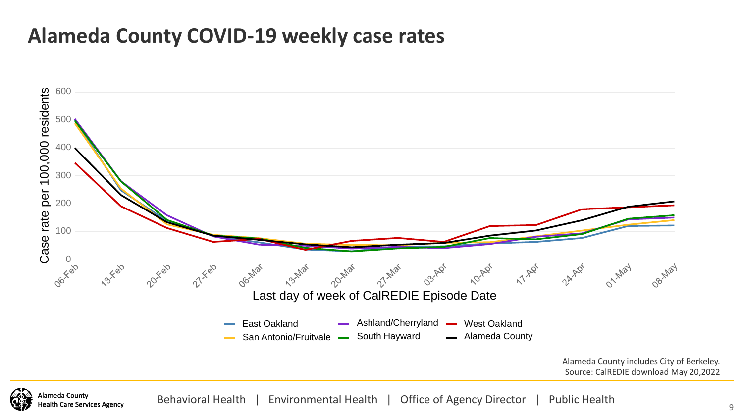#### **Alameda County COVID-19 weekly case rates**



**Mameda County Health Care Services Agency**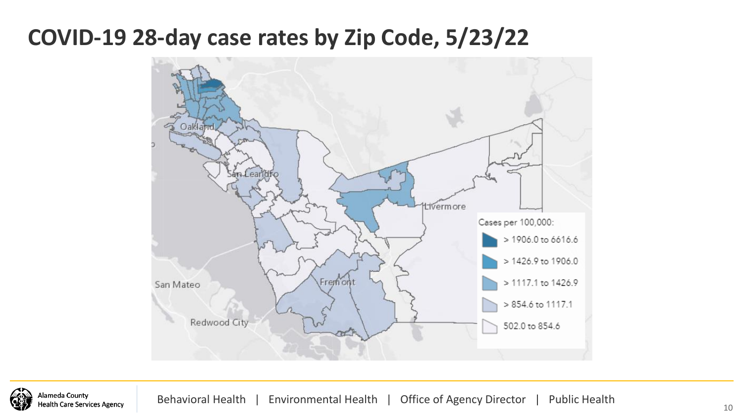#### **COVID-19 28-day case rates by Zip Code, 5/23/22**



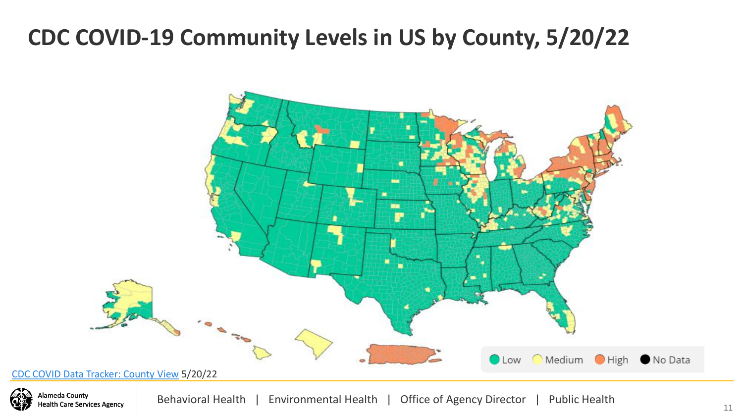#### **CDC COVID-19 Community Levels in US by County, 5/20/22**



Alameda County **Health Care Services Agency**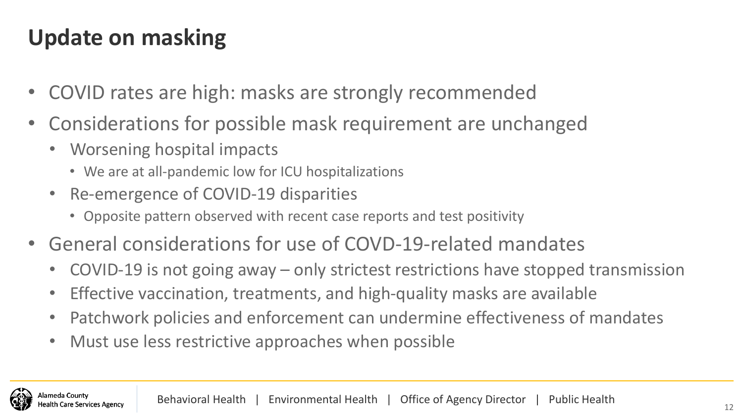# **Update on masking**

- COVID rates are high: masks are strongly recommended
- Considerations for possible mask requirement are unchanged
	- Worsening hospital impacts
		- We are at all-pandemic low for ICU hospitalizations
	- Re-emergence of COVID-19 disparities
		- Opposite pattern observed with recent case reports and test positivity
- General considerations for use of COVD-19-related mandates
	- COVID-19 is not going away only strictest restrictions have stopped transmission
	- Effective vaccination, treatments, and high-quality masks are available
	- Patchwork policies and enforcement can undermine effectiveness of mandates
	- Must use less restrictive approaches when possible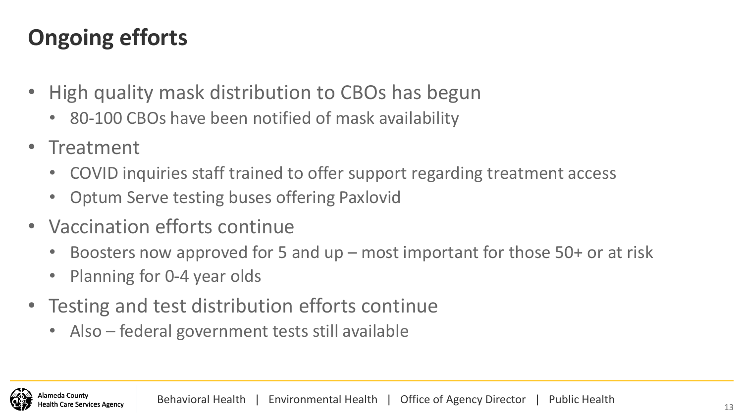# **Ongoing efforts**

- High quality mask distribution to CBOs has begun
	- 80-100 CBOs have been notified of mask availability
- Treatment
	- COVID inquiries staff trained to offer support regarding treatment access
	- Optum Serve testing buses offering Paxlovid
- Vaccination efforts continue
	- Boosters now approved for 5 and up most important for those 50+ or at risk
	- Planning for 0-4 year olds
- Testing and test distribution efforts continue
	- Also federal government tests still available